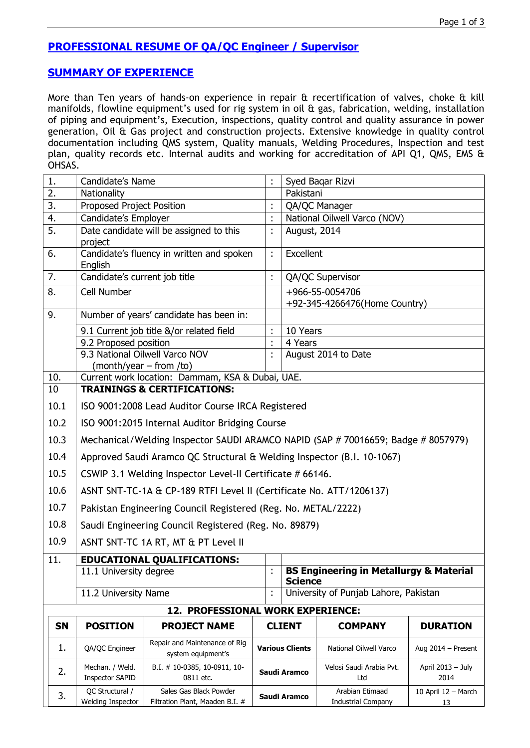# **PROFESSIONAL RESUME OF QA/QC Engineer / Supervisor**

### **SUMMARY OF EXPERIENCE**

More than Ten years of hands-on experience in repair & recertification of valves, choke & kill manifolds, flowline equipment's used for rig system in oil & gas, fabrication, welding, installation of piping and equipment's, Execution, inspections, quality control and quality assurance in power generation, Oil & Gas project and construction projects. Extensive knowledge in quality control documentation including QMS system, Quality manuals, Welding Procedures, Inspection and test plan, quality records etc. Internal audits and working for accreditation of API Q1, QMS, EMS & OHSAS.

| 1.        | Candidate's Name                                                                  |                                                           |                        |  | Syed Bagar Rizvi                                                     |                                              |                           |  |
|-----------|-----------------------------------------------------------------------------------|-----------------------------------------------------------|------------------------|--|----------------------------------------------------------------------|----------------------------------------------|---------------------------|--|
| 2.        | Nationality                                                                       |                                                           |                        |  | Pakistani                                                            |                                              |                           |  |
| 3.        | Proposed Project Position                                                         |                                                           |                        |  | QA/QC Manager                                                        |                                              |                           |  |
| 4.        | Candidate's Employer                                                              |                                                           | t                      |  | National Oilwell Varco (NOV)                                         |                                              |                           |  |
| 5.        | project                                                                           | Date candidate will be assigned to this                   | t                      |  | August, 2014                                                         |                                              |                           |  |
| 6.        | English                                                                           | Candidate's fluency in written and spoken                 | ÷.                     |  | <b>Excellent</b>                                                     |                                              |                           |  |
| 7.        | Candidate's current job title                                                     |                                                           | t                      |  | QA/QC Supervisor                                                     |                                              |                           |  |
| 8.        | Cell Number                                                                       |                                                           |                        |  | +966-55-0054706<br>+92-345-4266476(Home Country)                     |                                              |                           |  |
| 9.        | Number of years' candidate has been in:                                           |                                                           |                        |  |                                                                      |                                              |                           |  |
|           | 9.1 Current job title &/or related field                                          |                                                           |                        |  | 10 Years                                                             |                                              |                           |  |
|           | 9.2 Proposed position                                                             |                                                           |                        |  | 4 Years                                                              |                                              |                           |  |
|           | 9.3 National Oilwell Varco NOV<br>$(month/year - from /to)$                       |                                                           |                        |  | August 2014 to Date                                                  |                                              |                           |  |
| 10.       | Current work location: Dammam, KSA & Dubai, UAE.                                  |                                                           |                        |  |                                                                      |                                              |                           |  |
| 10        | <b>TRAININGS &amp; CERTIFICATIONS:</b>                                            |                                                           |                        |  |                                                                      |                                              |                           |  |
| 10.1      | ISO 9001:2008 Lead Auditor Course IRCA Registered                                 |                                                           |                        |  |                                                                      |                                              |                           |  |
| 10.2      | ISO 9001:2015 Internal Auditor Bridging Course                                    |                                                           |                        |  |                                                                      |                                              |                           |  |
| 10.3      | Mechanical/Welding Inspector SAUDI ARAMCO NAPID (SAP # 70016659; Badge # 8057979) |                                                           |                        |  |                                                                      |                                              |                           |  |
| 10.4      | Approved Saudi Aramco QC Structural & Welding Inspector (B.I. 10-1067)            |                                                           |                        |  |                                                                      |                                              |                           |  |
| 10.5      | CSWIP 3.1 Welding Inspector Level-II Certificate # 66146.                         |                                                           |                        |  |                                                                      |                                              |                           |  |
| 10.6      | ASNT SNT-TC-1A & CP-189 RTFI Level II (Certificate No. ATT/1206137)               |                                                           |                        |  |                                                                      |                                              |                           |  |
| 10.7      | Pakistan Engineering Council Registered (Reg. No. METAL/2222)                     |                                                           |                        |  |                                                                      |                                              |                           |  |
| 10.8      | Saudi Engineering Council Registered (Reg. No. 89879)                             |                                                           |                        |  |                                                                      |                                              |                           |  |
| 10.9      | ASNT SNT-TC 1A RT, MT & PT Level II                                               |                                                           |                        |  |                                                                      |                                              |                           |  |
| 11.       |                                                                                   | <b>EDUCATIONAL QUALIFICATIONS:</b>                        |                        |  |                                                                      |                                              |                           |  |
|           | 11.1 University degree                                                            |                                                           |                        |  | <b>BS Engineering in Metallurgy &amp; Material</b><br><b>Science</b> |                                              |                           |  |
|           | 11.2 University Name                                                              |                                                           |                        |  |                                                                      | University of Punjab Lahore, Pakistan        |                           |  |
|           |                                                                                   | 12. PROFESSIONAL WORK EXPERIENCE:                         |                        |  |                                                                      |                                              |                           |  |
| <b>SN</b> | <b>POSITION</b>                                                                   | <b>PROJECT NAME</b>                                       |                        |  | <b>CLIENT</b>                                                        | <b>COMPANY</b>                               | <b>DURATION</b>           |  |
| 1.        | QA/QC Engineer                                                                    | Repair and Maintenance of Rig<br>system equipment's       | <b>Various Clients</b> |  |                                                                      | National Oilwell Varco                       | Aug 2014 - Present        |  |
| 2.        | Mechan. / Weld.<br><b>Inspector SAPID</b>                                         | B.I. # 10-0385, 10-0911, 10-<br>0811 etc.                 | Saudi Aramco           |  |                                                                      | Velosi Saudi Arabia Pvt.<br>Ltd              | April 2013 - July<br>2014 |  |
| 3.        | QC Structural /<br>Welding Inspector                                              | Sales Gas Black Powder<br>Filtration Plant, Maaden B.I. # | Saudi Aramco           |  |                                                                      | Arabian Etimaad<br><b>Industrial Company</b> | 10 April 12 - March<br>13 |  |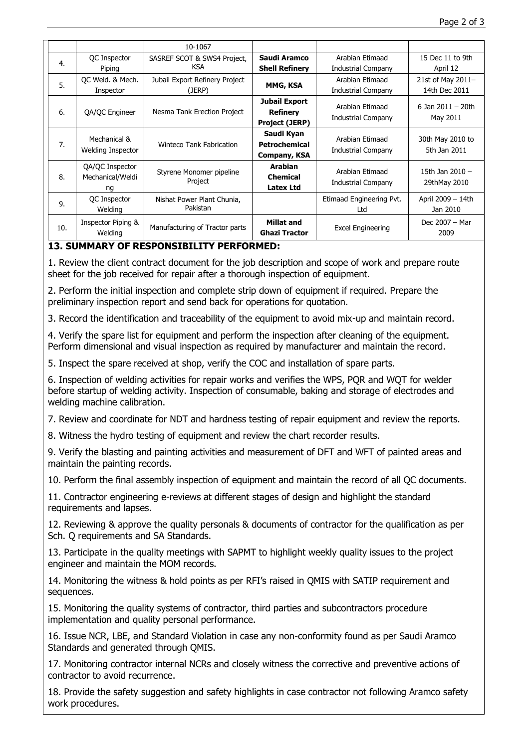|     |                                          | 10-1067                                |                       |                           |                                  |
|-----|------------------------------------------|----------------------------------------|-----------------------|---------------------------|----------------------------------|
| 4.  | QC Inspector                             | SASREF SCOT & SWS4 Project,            | Saudi Aramco          | Arabian Etimaad           | 15 Dec 11 to 9th                 |
|     | Piping                                   | <b>KSA</b>                             | <b>Shell Refinery</b> | <b>Industrial Company</b> | April 12                         |
| 5.  | OC Weld. & Mech.                         | Jubail Export Refinery Project         |                       | Arabian Etimaad           | 21st of May 2011-                |
|     | Inspector                                | (JERP)                                 | MMG, KSA              | <b>Industrial Company</b> | 14th Dec 2011                    |
| 6.  | QA/QC Engineer                           | Nesma Tank Erection Project            | Jubail Export         | Arabian Etimaad           | 6 Jan $2011 - 20$ th             |
|     |                                          |                                        | <b>Refinery</b>       |                           |                                  |
|     |                                          |                                        | <b>Project (JERP)</b> | <b>Industrial Company</b> | May 2011                         |
| 7.  | Mechanical &<br><b>Welding Inspector</b> | <b>Winteco Tank Fabrication</b>        | Saudi Kyan            | Arabian Etimaad           |                                  |
|     |                                          |                                        | <b>Petrochemical</b>  |                           | 30th May 2010 to<br>5th Jan 2011 |
|     |                                          |                                        | Company, KSA          | <b>Industrial Company</b> |                                  |
| 8.  | QA/QC Inspector                          | Styrene Monomer pipeline<br>Project    | <b>Arabian</b>        | Arabian Etimaad           | 15th Jan 2010 -                  |
|     | Mechanical/Weldi                         |                                        | <b>Chemical</b>       |                           |                                  |
|     | ng                                       |                                        | <b>Latex Ltd</b>      | <b>Industrial Company</b> | 29thMay 2010                     |
| 9.  | <b>QC</b> Inspector                      | Nishat Power Plant Chunia,<br>Pakistan |                       | Etimaad Engineering Pvt.  | April 2009 - 14th                |
|     | Welding                                  |                                        |                       | Ltd                       | Jan 2010                         |
| 10. | Inspector Piping &<br>Welding            | Manufacturing of Tractor parts         | <b>Millat and</b>     |                           | Dec 2007 - Mar                   |
|     |                                          |                                        | <b>Ghazi Tractor</b>  | <b>Excel Engineering</b>  | 2009                             |

## **13. SUMMARY OF RESPONSIBILITY PERFORMED:**

1. Review the client contract document for the job description and scope of work and prepare route sheet for the job received for repair after a thorough inspection of equipment.

• 2. Perform the initial inspection and complete strip down of equipment if required. Prepare the preliminary inspection report and send back for operations for quotation.

• 3. Record the identification and traceability of the equipment to avoid mix-up and maintain record.

4. Verify the spare list for equipment and perform the inspection after cleaning of the equipment. Perform dimensional and visual inspection as required by manufacturer and maintain the record.

5. Inspect the spare received at shop, verify the COC and installation of spare parts.

• 6. Inspection of welding activities for repair works and verifies the WPS, PQR and WQT for welder before startup of welding activity. Inspection of consumable, baking and storage of electrodes and welding machine calibration.

• 7. Review and coordinate for NDT and hardness testing of repair equipment and review the reports.

• 8. Witness the hydro testing of equipment and review the chart recorder results.

• 9. Verify the blasting and painting activities and measurement of DFT and WFT of painted areas and maintain the painting records.

• 10. Perform the final assembly inspection of equipment and maintain the record of all QC documents.

• 11. Contractor engineering e-reviews at different stages of design and highlight the standard requirements and lapses.

• 12. Reviewing & approve the quality personals & documents of contractor for the qualification as per Sch. Q requirements and SA Standards.

• 13. Participate in the quality meetings with SAPMT to highlight weekly quality issues to the project engineer and maintain the MOM records.

• 14. Monitoring the witness & hold points as per RFI's raised in QMIS with SATIP requirement and sequences.

• 15. Monitoring the quality systems of contractor, third parties and subcontractors procedure implementation and quality personal performance.

• 16. Issue NCR, LBE, and Standard Violation in case any non-conformity found as per Saudi Aramco Standards and generated through QMIS.

• 17. Monitoring contractor internal NCRs and closely witness the corrective and preventive actions of contractor to avoid recurrence.

• 18. Provide the safety suggestion and safety highlights in case contractor not following Aramco safety work procedures.